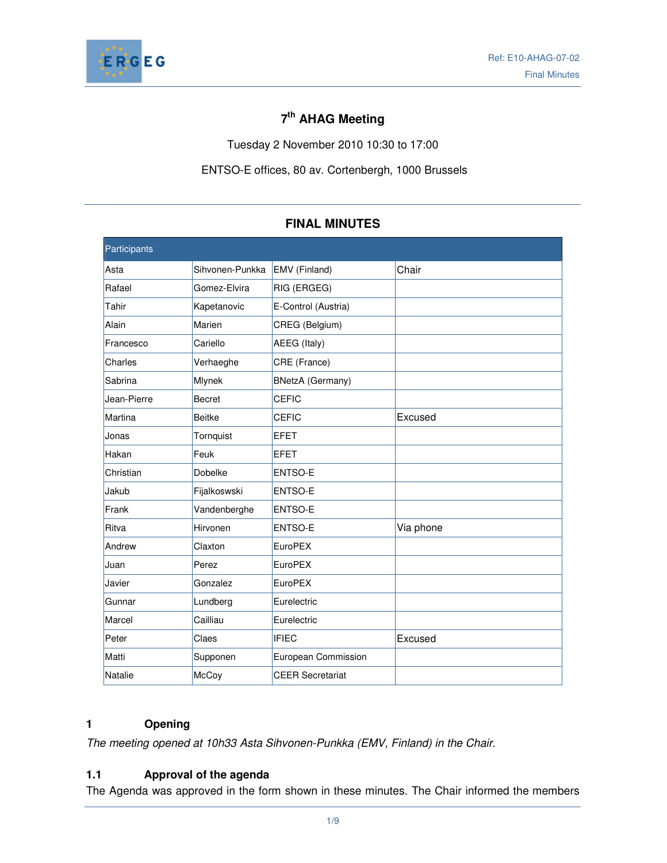

# **7 th AHAG Meeting**

Tuesday 2 November 2010 10:30 to 17:00

ENTSO-E offices, 80 av. Cortenbergh, 1000 Brussels

| Participants |                 |                         |           |
|--------------|-----------------|-------------------------|-----------|
| Asta         | Sihvonen-Punkka | EMV (Finland)           | Chair     |
| Rafael       | Gomez-Elvira    | RIG (ERGEG)             |           |
| Tahir        | Kapetanovic     | E-Control (Austria)     |           |
| Alain        | Marien          | CREG (Belgium)          |           |
| Francesco    | Cariello        | AEEG (Italy)            |           |
| Charles      | Verhaeghe       | CRE (France)            |           |
| Sabrina      | Mlynek          | <b>BNetzA</b> (Germany) |           |
| Jean-Pierre  | <b>Becret</b>   | <b>CEFIC</b>            |           |
| Martina      | <b>Beitke</b>   | <b>CEFIC</b>            | Excused   |
| Jonas        | Tornquist       | <b>EFET</b>             |           |
| Hakan        | Feuk            | <b>EFET</b>             |           |
| Christian    | Dobelke         | ENTSO-E                 |           |
| Jakub        | Fijalkoswski    | ENTSO-E                 |           |
| Frank        | Vandenberghe    | ENTSO-E                 |           |
| Ritva        | Hirvonen        | ENTSO-E                 | Via phone |
| Andrew       | Claxton         | <b>EuroPEX</b>          |           |
| Juan         | Perez           | <b>EuroPEX</b>          |           |
| Javier       | Gonzalez        | <b>EuroPEX</b>          |           |
| Gunnar       | Lundberg        | Eurelectric             |           |
| Marcel       | Cailliau        | Eurelectric             |           |
| Peter        | Claes           | <b>IFIEC</b>            | Excused   |
| Matti        | Supponen        | European Commission     |           |
| Natalie      | McCoy           | <b>CEER Secretariat</b> |           |

# **FINAL MINUTES**

# **1 Opening**

The meeting opened at 10h33 Asta Sihvonen-Punkka (EMV, Finland) in the Chair.

# **1.1 Approval of the agenda**

The Agenda was approved in the form shown in these minutes. The Chair informed the members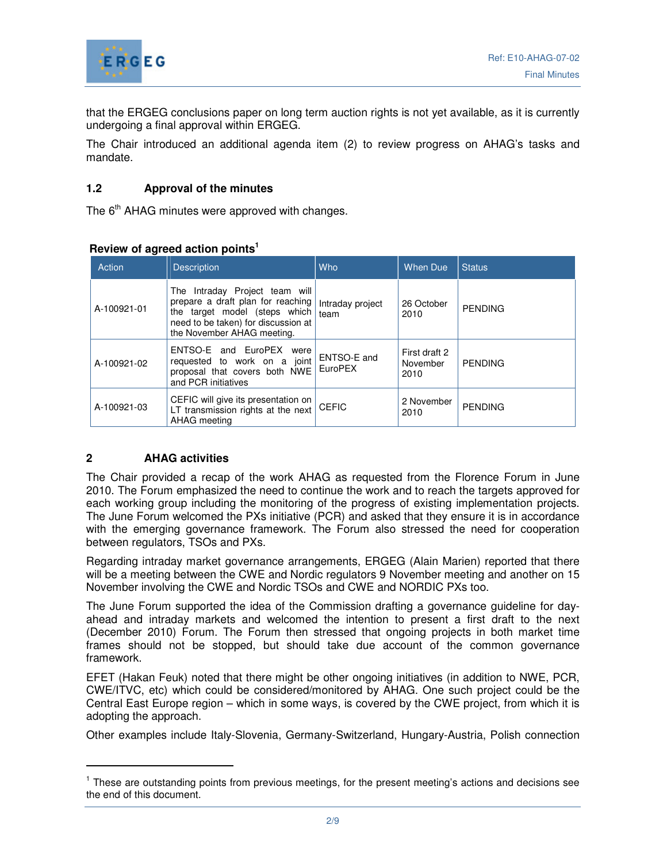

that the ERGEG conclusions paper on long term auction rights is not yet available, as it is currently undergoing a final approval within ERGEG.

The Chair introduced an additional agenda item (2) to review progress on AHAG's tasks and mandate.

# **1.2 Approval of the minutes**

The  $6<sup>th</sup>$  AHAG minutes were approved with changes.

# **Review of agreed action points<sup>1</sup>**

| Action      | <b>Description</b>                                                                                                                                                        | Who                      | <b>When Due</b>                   | <b>Status</b>  |
|-------------|---------------------------------------------------------------------------------------------------------------------------------------------------------------------------|--------------------------|-----------------------------------|----------------|
| A-100921-01 | The Intraday Project team will<br>prepare a draft plan for reaching<br>the target model (steps which<br>need to be taken) for discussion at<br>the November AHAG meeting. | Intraday project<br>team | 26 October<br>2010                | <b>PENDING</b> |
| A-100921-02 | ENTSO-E and EuroPEX<br>were<br>requested to work on a joint<br>proposal that covers both NWE<br>and PCR initiatives                                                       | ENTSO-E and<br>EuroPEX   | First draft 2<br>November<br>2010 | <b>PENDING</b> |
| A-100921-03 | CEFIC will give its presentation on<br>LT transmission rights at the next<br>AHAG meeting                                                                                 | <b>CEFIC</b>             | 2 November<br>2010                | <b>PENDING</b> |

# **2 AHAG activities**

-

The Chair provided a recap of the work AHAG as requested from the Florence Forum in June 2010. The Forum emphasized the need to continue the work and to reach the targets approved for each working group including the monitoring of the progress of existing implementation projects. The June Forum welcomed the PXs initiative (PCR) and asked that they ensure it is in accordance with the emerging governance framework. The Forum also stressed the need for cooperation between regulators, TSOs and PXs.

Regarding intraday market governance arrangements, ERGEG (Alain Marien) reported that there will be a meeting between the CWE and Nordic regulators 9 November meeting and another on 15 November involving the CWE and Nordic TSOs and CWE and NORDIC PXs too.

The June Forum supported the idea of the Commission drafting a governance guideline for dayahead and intraday markets and welcomed the intention to present a first draft to the next (December 2010) Forum. The Forum then stressed that ongoing projects in both market time frames should not be stopped, but should take due account of the common governance framework.

EFET (Hakan Feuk) noted that there might be other ongoing initiatives (in addition to NWE, PCR, CWE/ITVC, etc) which could be considered/monitored by AHAG. One such project could be the Central East Europe region – which in some ways, is covered by the CWE project, from which it is adopting the approach.

Other examples include Italy-Slovenia, Germany-Switzerland, Hungary-Austria, Polish connection

<sup>&</sup>lt;sup>1</sup> These are outstanding points from previous meetings, for the present meeting's actions and decisions see the end of this document.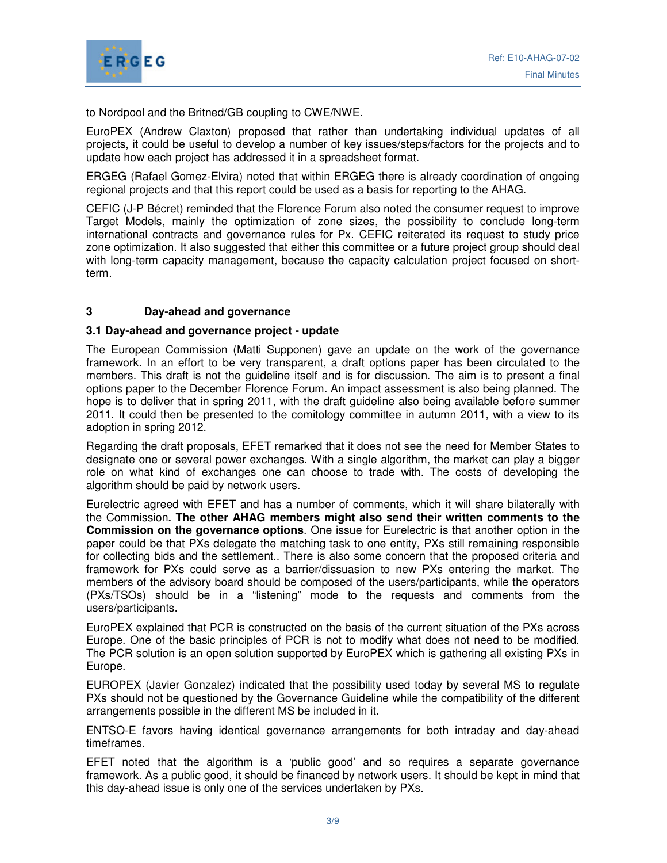

to Nordpool and the Britned/GB coupling to CWE/NWE.

EuroPEX (Andrew Claxton) proposed that rather than undertaking individual updates of all projects, it could be useful to develop a number of key issues/steps/factors for the projects and to update how each project has addressed it in a spreadsheet format.

ERGEG (Rafael Gomez-Elvira) noted that within ERGEG there is already coordination of ongoing regional projects and that this report could be used as a basis for reporting to the AHAG.

CEFIC (J-P Bécret) reminded that the Florence Forum also noted the consumer request to improve Target Models, mainly the optimization of zone sizes, the possibility to conclude long-term international contracts and governance rules for Px. CEFIC reiterated its request to study price zone optimization. It also suggested that either this committee or a future project group should deal with long-term capacity management, because the capacity calculation project focused on shortterm.

# **3 Day-ahead and governance**

#### **3.1 Day-ahead and governance project - update**

The European Commission (Matti Supponen) gave an update on the work of the governance framework. In an effort to be very transparent, a draft options paper has been circulated to the members. This draft is not the guideline itself and is for discussion. The aim is to present a final options paper to the December Florence Forum. An impact assessment is also being planned. The hope is to deliver that in spring 2011, with the draft guideline also being available before summer 2011. It could then be presented to the comitology committee in autumn 2011, with a view to its adoption in spring 2012.

Regarding the draft proposals, EFET remarked that it does not see the need for Member States to designate one or several power exchanges. With a single algorithm, the market can play a bigger role on what kind of exchanges one can choose to trade with. The costs of developing the algorithm should be paid by network users.

Eurelectric agreed with EFET and has a number of comments, which it will share bilaterally with the Commission**. The other AHAG members might also send their written comments to the Commission on the governance options**. One issue for Eurelectric is that another option in the paper could be that PXs delegate the matching task to one entity, PXs still remaining responsible for collecting bids and the settlement.. There is also some concern that the proposed criteria and framework for PXs could serve as a barrier/dissuasion to new PXs entering the market. The members of the advisory board should be composed of the users/participants, while the operators (PXs/TSOs) should be in a "listening" mode to the requests and comments from the users/participants.

EuroPEX explained that PCR is constructed on the basis of the current situation of the PXs across Europe. One of the basic principles of PCR is not to modify what does not need to be modified. The PCR solution is an open solution supported by EuroPEX which is gathering all existing PXs in Europe.

EUROPEX (Javier Gonzalez) indicated that the possibility used today by several MS to regulate PXs should not be questioned by the Governance Guideline while the compatibility of the different arrangements possible in the different MS be included in it.

ENTSO-E favors having identical governance arrangements for both intraday and day-ahead timeframes.

EFET noted that the algorithm is a 'public good' and so requires a separate governance framework. As a public good, it should be financed by network users. It should be kept in mind that this day-ahead issue is only one of the services undertaken by PXs.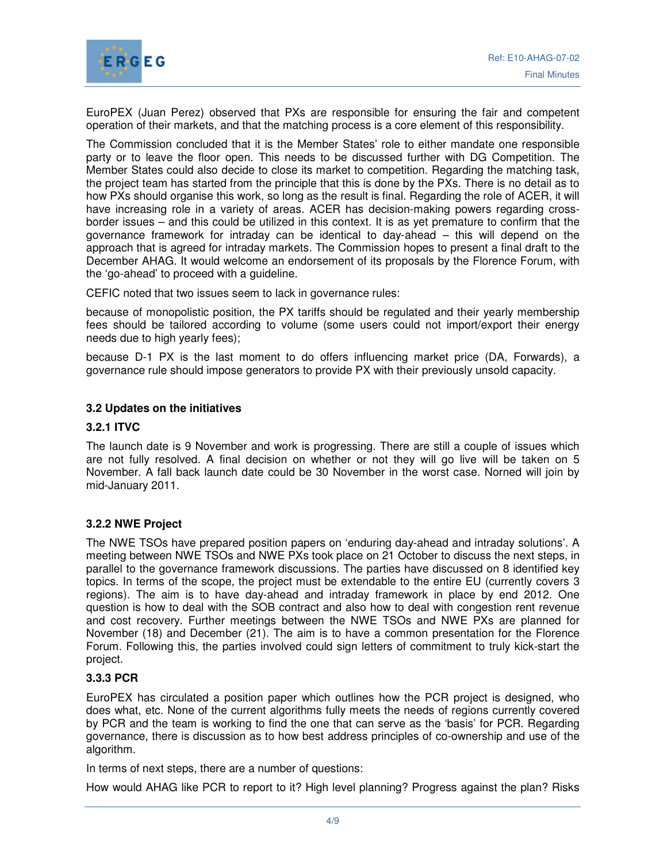

EuroPEX (Juan Perez) observed that PXs are responsible for ensuring the fair and competent operation of their markets, and that the matching process is a core element of this responsibility.

The Commission concluded that it is the Member States' role to either mandate one responsible party or to leave the floor open. This needs to be discussed further with DG Competition. The Member States could also decide to close its market to competition. Regarding the matching task, the project team has started from the principle that this is done by the PXs. There is no detail as to how PXs should organise this work, so long as the result is final. Regarding the role of ACER, it will have increasing role in a variety of areas. ACER has decision-making powers regarding crossborder issues – and this could be utilized in this context. It is as yet premature to confirm that the governance framework for intraday can be identical to day-ahead – this will depend on the approach that is agreed for intraday markets. The Commission hopes to present a final draft to the December AHAG. It would welcome an endorsement of its proposals by the Florence Forum, with the 'go-ahead' to proceed with a guideline.

CEFIC noted that two issues seem to lack in governance rules:

because of monopolistic position, the PX tariffs should be regulated and their yearly membership fees should be tailored according to volume (some users could not import/export their energy needs due to high yearly fees);

because D-1 PX is the last moment to do offers influencing market price (DA, Forwards), a governance rule should impose generators to provide PX with their previously unsold capacity.

# **3.2 Updates on the initiatives**

#### **3.2.1 ITVC**

The launch date is 9 November and work is progressing. There are still a couple of issues which are not fully resolved. A final decision on whether or not they will go live will be taken on 5 November. A fall back launch date could be 30 November in the worst case. Norned will join by mid-January 2011.

# **3.2.2 NWE Project**

The NWE TSOs have prepared position papers on 'enduring day-ahead and intraday solutions'. A meeting between NWE TSOs and NWE PXs took place on 21 October to discuss the next steps, in parallel to the governance framework discussions. The parties have discussed on 8 identified key topics. In terms of the scope, the project must be extendable to the entire EU (currently covers 3 regions). The aim is to have day-ahead and intraday framework in place by end 2012. One question is how to deal with the SOB contract and also how to deal with congestion rent revenue and cost recovery. Further meetings between the NWE TSOs and NWE PXs are planned for November (18) and December (21). The aim is to have a common presentation for the Florence Forum. Following this, the parties involved could sign letters of commitment to truly kick-start the project.

#### **3.3.3 PCR**

EuroPEX has circulated a position paper which outlines how the PCR project is designed, who does what, etc. None of the current algorithms fully meets the needs of regions currently covered by PCR and the team is working to find the one that can serve as the 'basis' for PCR. Regarding governance, there is discussion as to how best address principles of co-ownership and use of the algorithm.

In terms of next steps, there are a number of questions:

How would AHAG like PCR to report to it? High level planning? Progress against the plan? Risks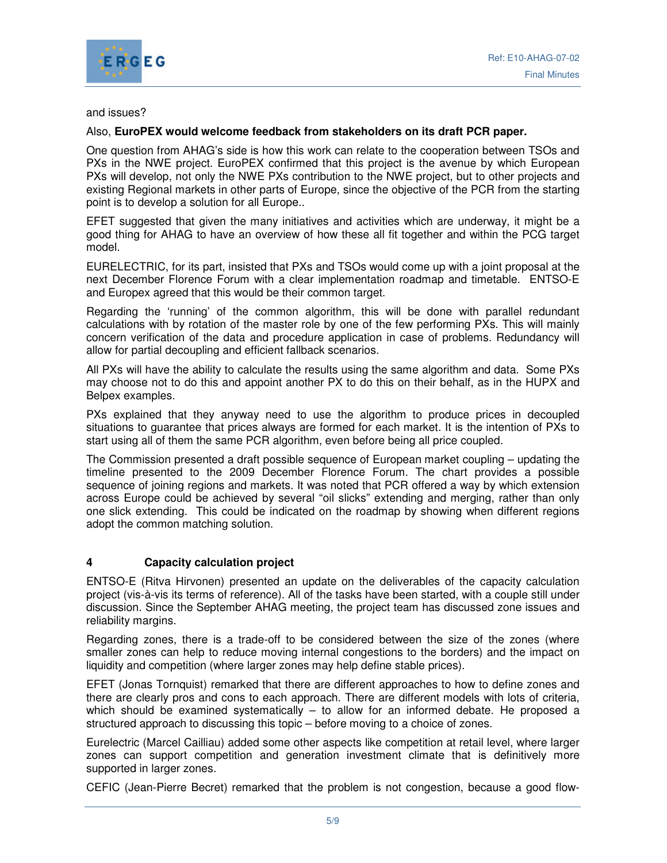

### and issues?

# Also, **EuroPEX would welcome feedback from stakeholders on its draft PCR paper.**

One question from AHAG's side is how this work can relate to the cooperation between TSOs and PXs in the NWE project. EuroPEX confirmed that this project is the avenue by which European PXs will develop, not only the NWE PXs contribution to the NWE project, but to other projects and existing Regional markets in other parts of Europe, since the objective of the PCR from the starting point is to develop a solution for all Europe..

EFET suggested that given the many initiatives and activities which are underway, it might be a good thing for AHAG to have an overview of how these all fit together and within the PCG target model.

EURELECTRIC, for its part, insisted that PXs and TSOs would come up with a joint proposal at the next December Florence Forum with a clear implementation roadmap and timetable. ENTSO-E and Europex agreed that this would be their common target.

Regarding the 'running' of the common algorithm, this will be done with parallel redundant calculations with by rotation of the master role by one of the few performing PXs. This will mainly concern verification of the data and procedure application in case of problems. Redundancy will allow for partial decoupling and efficient fallback scenarios.

All PXs will have the ability to calculate the results using the same algorithm and data. Some PXs may choose not to do this and appoint another PX to do this on their behalf, as in the HUPX and Belpex examples.

PXs explained that they anyway need to use the algorithm to produce prices in decoupled situations to guarantee that prices always are formed for each market. It is the intention of PXs to start using all of them the same PCR algorithm, even before being all price coupled.

The Commission presented a draft possible sequence of European market coupling – updating the timeline presented to the 2009 December Florence Forum. The chart provides a possible sequence of joining regions and markets. It was noted that PCR offered a way by which extension across Europe could be achieved by several "oil slicks" extending and merging, rather than only one slick extending. This could be indicated on the roadmap by showing when different regions adopt the common matching solution.

# **4 Capacity calculation project**

ENTSO-E (Ritva Hirvonen) presented an update on the deliverables of the capacity calculation project (vis-à-vis its terms of reference). All of the tasks have been started, with a couple still under discussion. Since the September AHAG meeting, the project team has discussed zone issues and reliability margins.

Regarding zones, there is a trade-off to be considered between the size of the zones (where smaller zones can help to reduce moving internal congestions to the borders) and the impact on liquidity and competition (where larger zones may help define stable prices).

EFET (Jonas Tornquist) remarked that there are different approaches to how to define zones and there are clearly pros and cons to each approach. There are different models with lots of criteria, which should be examined systematically – to allow for an informed debate. He proposed a structured approach to discussing this topic – before moving to a choice of zones.

Eurelectric (Marcel Cailliau) added some other aspects like competition at retail level, where larger zones can support competition and generation investment climate that is definitively more supported in larger zones.

CEFIC (Jean-Pierre Becret) remarked that the problem is not congestion, because a good flow-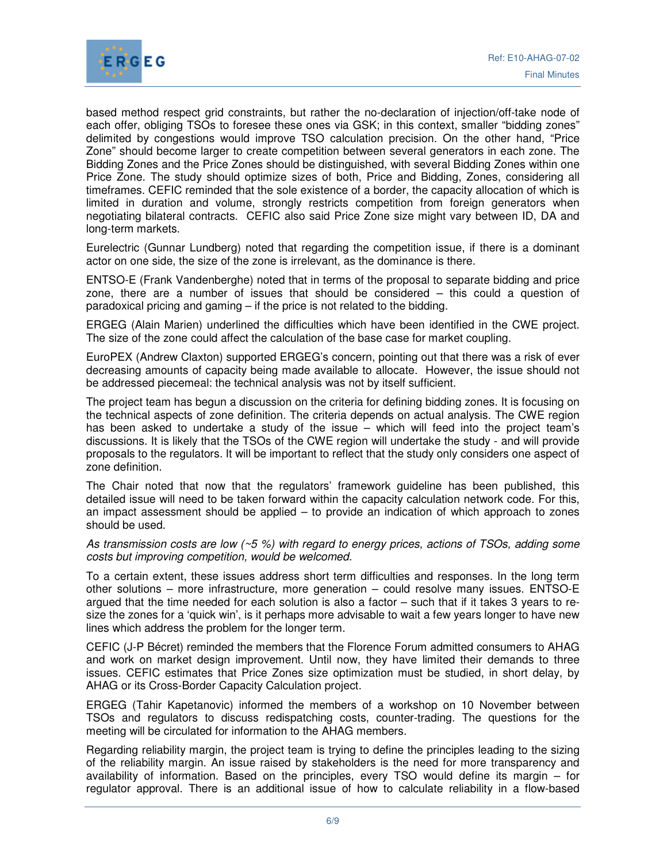

based method respect grid constraints, but rather the no-declaration of injection/off-take node of each offer, obliging TSOs to foresee these ones via GSK; in this context, smaller "bidding zones" delimited by congestions would improve TSO calculation precision. On the other hand, "Price Zone" should become larger to create competition between several generators in each zone. The Bidding Zones and the Price Zones should be distinguished, with several Bidding Zones within one Price Zone. The study should optimize sizes of both, Price and Bidding, Zones, considering all timeframes. CEFIC reminded that the sole existence of a border, the capacity allocation of which is limited in duration and volume, strongly restricts competition from foreign generators when negotiating bilateral contracts. CEFIC also said Price Zone size might vary between ID, DA and long-term markets.

Eurelectric (Gunnar Lundberg) noted that regarding the competition issue, if there is a dominant actor on one side, the size of the zone is irrelevant, as the dominance is there.

ENTSO-E (Frank Vandenberghe) noted that in terms of the proposal to separate bidding and price zone, there are a number of issues that should be considered – this could a question of paradoxical pricing and gaming – if the price is not related to the bidding.

ERGEG (Alain Marien) underlined the difficulties which have been identified in the CWE project. The size of the zone could affect the calculation of the base case for market coupling.

EuroPEX (Andrew Claxton) supported ERGEG's concern, pointing out that there was a risk of ever decreasing amounts of capacity being made available to allocate. However, the issue should not be addressed piecemeal: the technical analysis was not by itself sufficient.

The project team has begun a discussion on the criteria for defining bidding zones. It is focusing on the technical aspects of zone definition. The criteria depends on actual analysis. The CWE region has been asked to undertake a study of the issue – which will feed into the project team's discussions. It is likely that the TSOs of the CWE region will undertake the study - and will provide proposals to the regulators. It will be important to reflect that the study only considers one aspect of zone definition.

The Chair noted that now that the regulators' framework guideline has been published, this detailed issue will need to be taken forward within the capacity calculation network code. For this, an impact assessment should be applied – to provide an indication of which approach to zones should be used.

As transmission costs are low  $(25\%)$  with regard to energy prices, actions of TSOs, adding some costs but improving competition, would be welcomed.

To a certain extent, these issues address short term difficulties and responses. In the long term other solutions – more infrastructure, more generation – could resolve many issues. ENTSO-E argued that the time needed for each solution is also a factor – such that if it takes 3 years to resize the zones for a 'quick win', is it perhaps more advisable to wait a few years longer to have new lines which address the problem for the longer term.

CEFIC (J-P Bécret) reminded the members that the Florence Forum admitted consumers to AHAG and work on market design improvement. Until now, they have limited their demands to three issues. CEFIC estimates that Price Zones size optimization must be studied, in short delay, by AHAG or its Cross-Border Capacity Calculation project.

ERGEG (Tahir Kapetanovic) informed the members of a workshop on 10 November between TSOs and regulators to discuss redispatching costs, counter-trading. The questions for the meeting will be circulated for information to the AHAG members.

Regarding reliability margin, the project team is trying to define the principles leading to the sizing of the reliability margin. An issue raised by stakeholders is the need for more transparency and availability of information. Based on the principles, every TSO would define its margin – for regulator approval. There is an additional issue of how to calculate reliability in a flow-based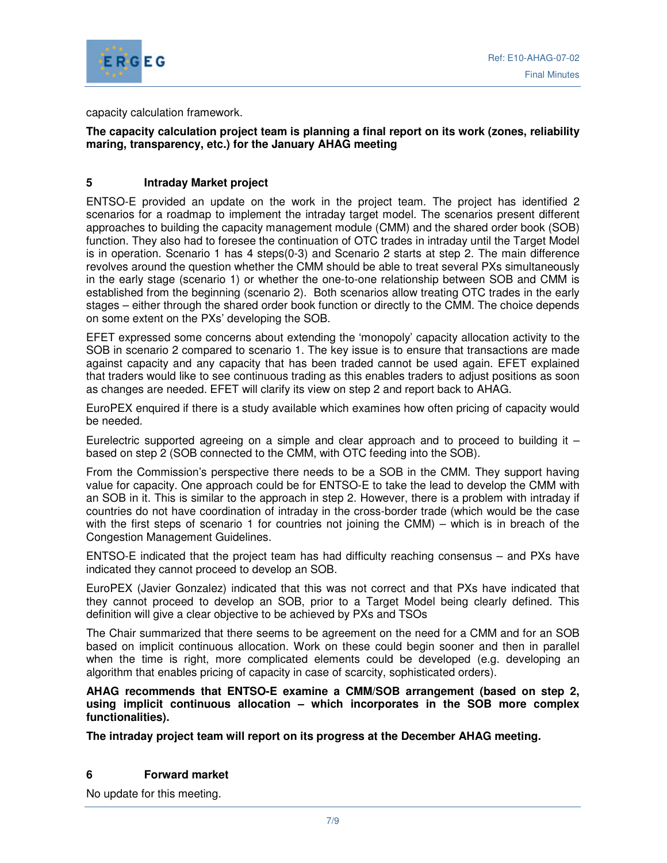

capacity calculation framework.

# **The capacity calculation project team is planning a final report on its work (zones, reliability maring, transparency, etc.) for the January AHAG meeting**

# **5 Intraday Market project**

ENTSO-E provided an update on the work in the project team. The project has identified 2 scenarios for a roadmap to implement the intraday target model. The scenarios present different approaches to building the capacity management module (CMM) and the shared order book (SOB) function. They also had to foresee the continuation of OTC trades in intraday until the Target Model is in operation. Scenario 1 has 4 steps(0-3) and Scenario 2 starts at step 2. The main difference revolves around the question whether the CMM should be able to treat several PXs simultaneously in the early stage (scenario 1) or whether the one-to-one relationship between SOB and CMM is established from the beginning (scenario 2). Both scenarios allow treating OTC trades in the early stages – either through the shared order book function or directly to the CMM. The choice depends on some extent on the PXs' developing the SOB.

EFET expressed some concerns about extending the 'monopoly' capacity allocation activity to the SOB in scenario 2 compared to scenario 1. The key issue is to ensure that transactions are made against capacity and any capacity that has been traded cannot be used again. EFET explained that traders would like to see continuous trading as this enables traders to adjust positions as soon as changes are needed. EFET will clarify its view on step 2 and report back to AHAG.

EuroPEX enquired if there is a study available which examines how often pricing of capacity would be needed.

Eurelectric supported agreeing on a simple and clear approach and to proceed to building it  $$ based on step 2 (SOB connected to the CMM, with OTC feeding into the SOB).

From the Commission's perspective there needs to be a SOB in the CMM. They support having value for capacity. One approach could be for ENTSO-E to take the lead to develop the CMM with an SOB in it. This is similar to the approach in step 2. However, there is a problem with intraday if countries do not have coordination of intraday in the cross-border trade (which would be the case with the first steps of scenario 1 for countries not joining the CMM) – which is in breach of the Congestion Management Guidelines.

ENTSO-E indicated that the project team has had difficulty reaching consensus – and PXs have indicated they cannot proceed to develop an SOB.

EuroPEX (Javier Gonzalez) indicated that this was not correct and that PXs have indicated that they cannot proceed to develop an SOB, prior to a Target Model being clearly defined. This definition will give a clear objective to be achieved by PXs and TSOs

The Chair summarized that there seems to be agreement on the need for a CMM and for an SOB based on implicit continuous allocation. Work on these could begin sooner and then in parallel when the time is right, more complicated elements could be developed (e.g. developing an algorithm that enables pricing of capacity in case of scarcity, sophisticated orders).

**AHAG recommends that ENTSO-E examine a CMM/SOB arrangement (based on step 2, using implicit continuous allocation – which incorporates in the SOB more complex functionalities).** 

**The intraday project team will report on its progress at the December AHAG meeting.** 

#### **6 Forward market**

No update for this meeting.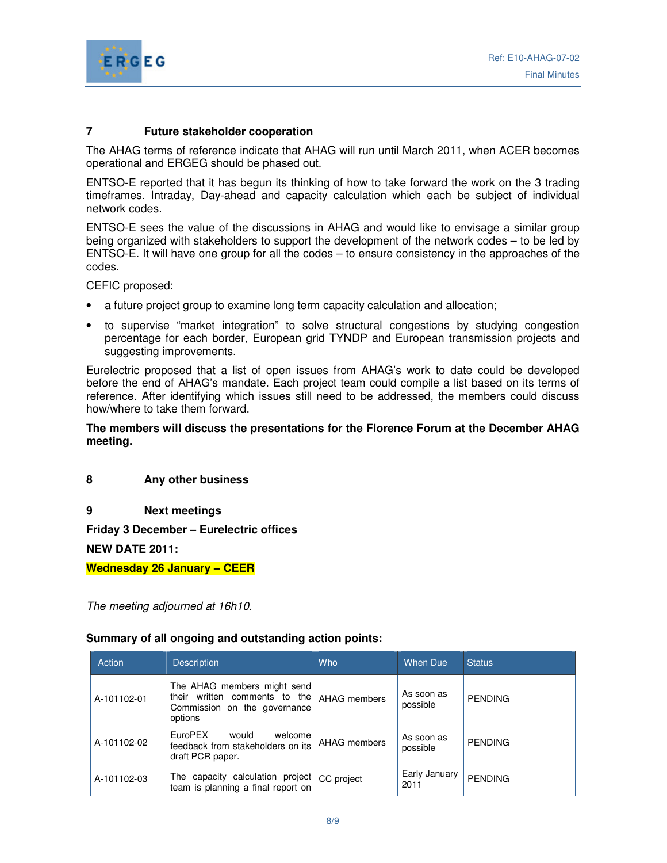

# **7 Future stakeholder cooperation**

The AHAG terms of reference indicate that AHAG will run until March 2011, when ACER becomes operational and ERGEG should be phased out.

ENTSO-E reported that it has begun its thinking of how to take forward the work on the 3 trading timeframes. Intraday, Day-ahead and capacity calculation which each be subject of individual network codes.

ENTSO-E sees the value of the discussions in AHAG and would like to envisage a similar group being organized with stakeholders to support the development of the network codes – to be led by ENTSO-E. It will have one group for all the codes – to ensure consistency in the approaches of the codes.

CEFIC proposed:

- a future project group to examine long term capacity calculation and allocation;
- to supervise "market integration" to solve structural congestions by studying congestion percentage for each border, European grid TYNDP and European transmission projects and suggesting improvements.

Eurelectric proposed that a list of open issues from AHAG's work to date could be developed before the end of AHAG's mandate. Each project team could compile a list based on its terms of reference. After identifying which issues still need to be addressed, the members could discuss how/where to take them forward.

**The members will discuss the presentations for the Florence Forum at the December AHAG meeting.** 

**8 Any other business** 

**9 Next meetings** 

**Friday 3 December – Eurelectric offices** 

**NEW DATE 2011:** 

**Wednesday 26 January – CEER** 

The meeting adjourned at 16h10.

# **Summary of all ongoing and outstanding action points:**

| Action      | <b>Description</b>                                                                                      | <b>Who</b>   | <b>When Due</b>        | <b>Status</b>  |
|-------------|---------------------------------------------------------------------------------------------------------|--------------|------------------------|----------------|
| A-101102-01 | The AHAG members might send<br>their written comments to the<br>Commission on the governance<br>options | AHAG members | As soon as<br>possible | <b>PENDING</b> |
| A-101102-02 | EuroPEX<br>would<br>welcome<br>feedback from stakeholders on its<br>draft PCR paper.                    | AHAG members | As soon as<br>possible | <b>PENDING</b> |
| A-101102-03 | The capacity calculation project<br>team is planning a final report on                                  | CC project   | Early January<br>2011  | <b>PENDING</b> |